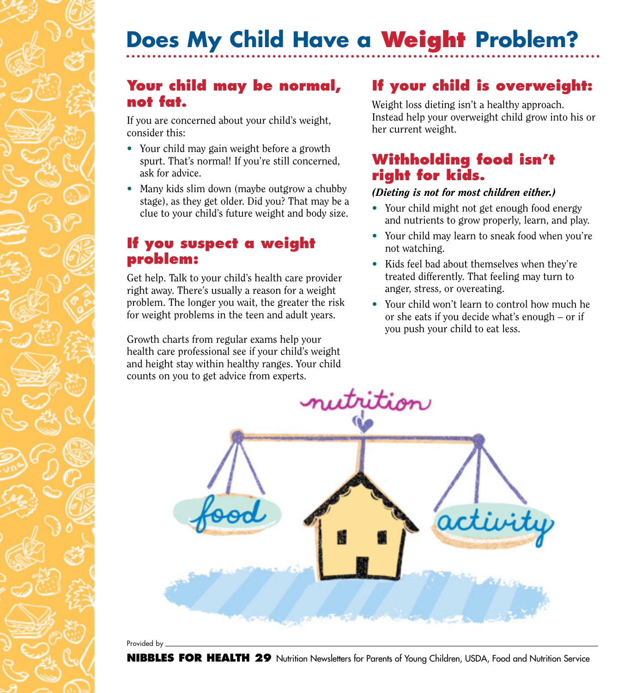# **Does My Child Have a Weight Problem?**

## **Your child may be normal, not fat.**

If you are concerned about your child's weight, consider this:

- Your child may gain weight before a growth spurt. That's normal! If you're still concerned, ask for advice.
- Many kids slim down (maybe outgrow a chubby stage), as they get older. Did you? That may be a clue to your child's future weight and body size.

### **If you suspect a weight problem:**

Get help. Talk to your child's health care provider right away. There's usually a reason for a weight problem. The longer you wait, the greater the risk for weight problems in the teen and adult years.

Growth charts from regular exams help your health care professional see if your child's weight and height stay within healthy ranges. Your child counts on you to get advice from experts.

# **If your child is overweight:**

Weight loss dieting isn't a healthy approach. Instead help your overweight child grow into his or her current weight.

# **Withholding food isn't right for kids.**

#### *(Dieting is not for most children either.)*

- Your child might not get enough food energy and nutrients to grow properly, learn, and play.
- Your child may learn to sneak food when you're not watching.
- Kids feel bad about themselves when they're treated differently. That feeling may turn to anger, stress, or overeating.
- Your child won't learn to control how much he or she eats if you decide what's enough – or if you push your child to eat less.



Provided by

**NIBBLES FOR HEALTH 29** Nutrition Newsletters for Parents of Young Children, USDA, Food and Nutrition Service